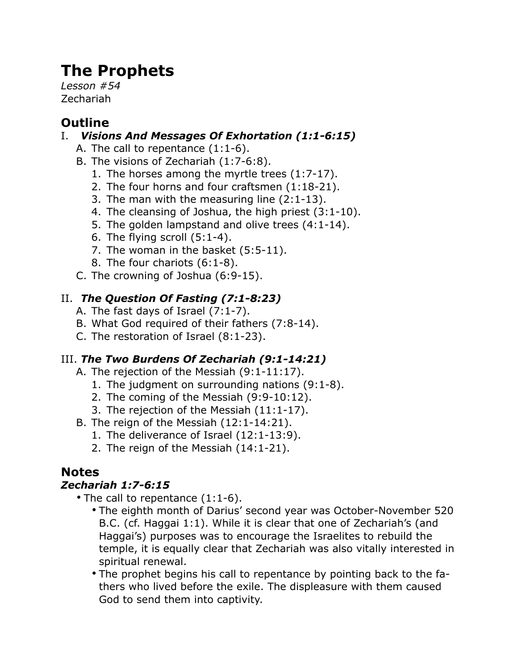# **The Prophets**

*Lesson #54* Zechariah

# **Outline**

#### I. *Visions And Messages Of Exhortation (1:1-6:15)*

- A. The call to repentance (1:1-6).
- B. The visions of Zechariah (1:7-6:8).
	- 1. The horses among the myrtle trees (1:7-17).
	- 2. The four horns and four craftsmen (1:18-21).
	- 3. The man with the measuring line (2:1-13).
	- 4. The cleansing of Joshua, the high priest (3:1-10).
	- 5. The golden lampstand and olive trees (4:1-14).
	- 6. The flying scroll (5:1-4).
	- 7. The woman in the basket (5:5-11).
	- 8. The four chariots (6:1-8).
- C. The crowning of Joshua (6:9-15).

## II. *The Question Of Fasting (7:1-8:23)*

- A. The fast days of Israel (7:1-7).
- B. What God required of their fathers (7:8-14).
- C. The restoration of Israel (8:1-23).

## III. *The Two Burdens Of Zechariah (9:1-14:21)*

- A. The rejection of the Messiah (9:1-11:17).
	- 1. The judgment on surrounding nations (9:1-8).
	- 2. The coming of the Messiah (9:9-10:12).
	- 3. The rejection of the Messiah (11:1-17).
- B. The reign of the Messiah (12:1-14:21).
	- 1. The deliverance of Israel (12:1-13:9).
	- 2. The reign of the Messiah (14:1-21).

# **Notes**

### *Zechariah 1:7-6:15*

- The call to repentance (1:1-6).
	- The eighth month of Darius' second year was October-November 520 B.C. (cf. Haggai 1:1). While it is clear that one of Zechariah's (and Haggai's) purposes was to encourage the Israelites to rebuild the temple, it is equally clear that Zechariah was also vitally interested in spiritual renewal.
	- The prophet begins his call to repentance by pointing back to the fathers who lived before the exile. The displeasure with them caused God to send them into captivity.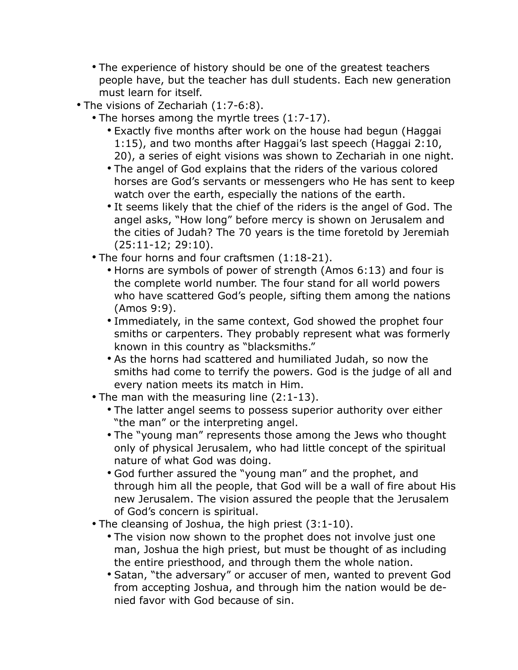- The experience of history should be one of the greatest teachers people have, but the teacher has dull students. Each new generation must learn for itself.
- The visions of Zechariah (1:7-6:8).
	- The horses among the myrtle trees (1:7-17).
		- Exactly five months after work on the house had begun (Haggai 1:15), and two months after Haggai's last speech (Haggai 2:10, 20), a series of eight visions was shown to Zechariah in one night.
		- The angel of God explains that the riders of the various colored horses are God's servants or messengers who He has sent to keep watch over the earth, especially the nations of the earth.
		- It seems likely that the chief of the riders is the angel of God. The angel asks, "How long" before mercy is shown on Jerusalem and the cities of Judah? The 70 years is the time foretold by Jeremiah (25:11-12; 29:10).
	- The four horns and four craftsmen (1:18-21).
		- Horns are symbols of power of strength (Amos 6:13) and four is the complete world number. The four stand for all world powers who have scattered God's people, sifting them among the nations (Amos 9:9).
		- Immediately, in the same context, God showed the prophet four smiths or carpenters. They probably represent what was formerly known in this country as "blacksmiths."
		- As the horns had scattered and humiliated Judah, so now the smiths had come to terrify the powers. God is the judge of all and every nation meets its match in Him.
	- The man with the measuring line (2:1-13).
		- The latter angel seems to possess superior authority over either "the man" or the interpreting angel.
		- The "young man" represents those among the Jews who thought only of physical Jerusalem, who had little concept of the spiritual nature of what God was doing.
		- God further assured the "young man" and the prophet, and through him all the people, that God will be a wall of fire about His new Jerusalem. The vision assured the people that the Jerusalem of God's concern is spiritual.
	- The cleansing of Joshua, the high priest (3:1-10).
		- The vision now shown to the prophet does not involve just one man, Joshua the high priest, but must be thought of as including the entire priesthood, and through them the whole nation.
		- Satan, "the adversary" or accuser of men, wanted to prevent God from accepting Joshua, and through him the nation would be denied favor with God because of sin.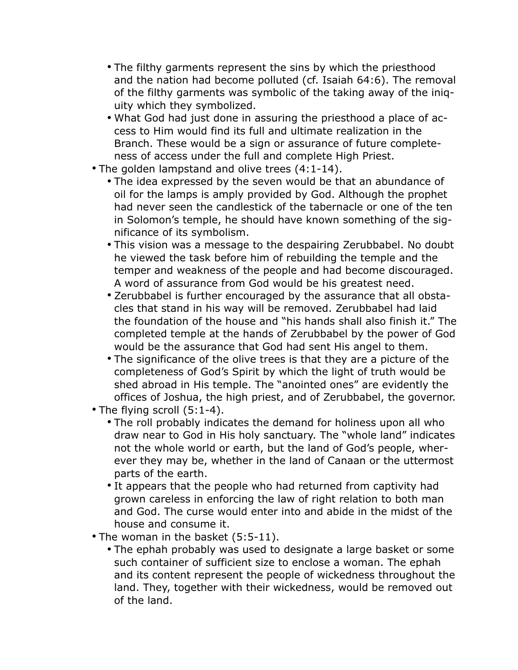- The filthy garments represent the sins by which the priesthood and the nation had become polluted (cf. Isaiah 64:6). The removal of the filthy garments was symbolic of the taking away of the iniquity which they symbolized.
- What God had just done in assuring the priesthood a place of access to Him would find its full and ultimate realization in the Branch. These would be a sign or assurance of future completeness of access under the full and complete High Priest.
- The golden lampstand and olive trees (4:1-14).
	- The idea expressed by the seven would be that an abundance of oil for the lamps is amply provided by God. Although the prophet had never seen the candlestick of the tabernacle or one of the ten in Solomon's temple, he should have known something of the significance of its symbolism.
	- This vision was a message to the despairing Zerubbabel. No doubt he viewed the task before him of rebuilding the temple and the temper and weakness of the people and had become discouraged. A word of assurance from God would be his greatest need.
	- Zerubbabel is further encouraged by the assurance that all obstacles that stand in his way will be removed. Zerubbabel had laid the foundation of the house and "his hands shall also finish it." The completed temple at the hands of Zerubbabel by the power of God would be the assurance that God had sent His angel to them.
	- The significance of the olive trees is that they are a picture of the completeness of God's Spirit by which the light of truth would be shed abroad in His temple. The "anointed ones" are evidently the offices of Joshua, the high priest, and of Zerubbabel, the governor.
- The flying scroll (5:1-4).
	- The roll probably indicates the demand for holiness upon all who draw near to God in His holy sanctuary. The "whole land" indicates not the whole world or earth, but the land of God's people, wherever they may be, whether in the land of Canaan or the uttermost parts of the earth.
	- It appears that the people who had returned from captivity had grown careless in enforcing the law of right relation to both man and God. The curse would enter into and abide in the midst of the house and consume it.
- The woman in the basket (5:5-11).
	- The ephah probably was used to designate a large basket or some such container of sufficient size to enclose a woman. The ephah and its content represent the people of wickedness throughout the land. They, together with their wickedness, would be removed out of the land.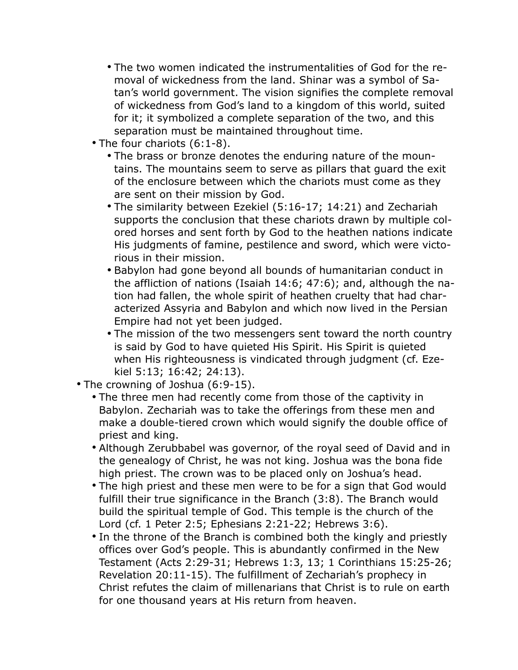- The two women indicated the instrumentalities of God for the removal of wickedness from the land. Shinar was a symbol of Satan's world government. The vision signifies the complete removal of wickedness from God's land to a kingdom of this world, suited for it; it symbolized a complete separation of the two, and this separation must be maintained throughout time.
- The four chariots (6:1-8).
	- The brass or bronze denotes the enduring nature of the mountains. The mountains seem to serve as pillars that guard the exit of the enclosure between which the chariots must come as they are sent on their mission by God.
	- The similarity between Ezekiel (5:16-17; 14:21) and Zechariah supports the conclusion that these chariots drawn by multiple colored horses and sent forth by God to the heathen nations indicate His judgments of famine, pestilence and sword, which were victorious in their mission.
	- Babylon had gone beyond all bounds of humanitarian conduct in the affliction of nations (Isaiah 14:6; 47:6); and, although the nation had fallen, the whole spirit of heathen cruelty that had characterized Assyria and Babylon and which now lived in the Persian Empire had not yet been judged.
	- The mission of the two messengers sent toward the north country is said by God to have quieted His Spirit. His Spirit is quieted when His righteousness is vindicated through judgment (cf. Ezekiel 5:13; 16:42; 24:13).
- The crowning of Joshua (6:9-15).
	- The three men had recently come from those of the captivity in Babylon. Zechariah was to take the offerings from these men and make a double-tiered crown which would signify the double office of priest and king.
	- Although Zerubbabel was governor, of the royal seed of David and in the genealogy of Christ, he was not king. Joshua was the bona fide high priest. The crown was to be placed only on Joshua's head.
	- The high priest and these men were to be for a sign that God would fulfill their true significance in the Branch (3:8). The Branch would build the spiritual temple of God. This temple is the church of the Lord (cf. 1 Peter 2:5; Ephesians 2:21-22; Hebrews 3:6).
	- In the throne of the Branch is combined both the kingly and priestly offices over God's people. This is abundantly confirmed in the New Testament (Acts 2:29-31; Hebrews 1:3, 13; 1 Corinthians 15:25-26; Revelation 20:11-15). The fulfillment of Zechariah's prophecy in Christ refutes the claim of millenarians that Christ is to rule on earth for one thousand years at His return from heaven.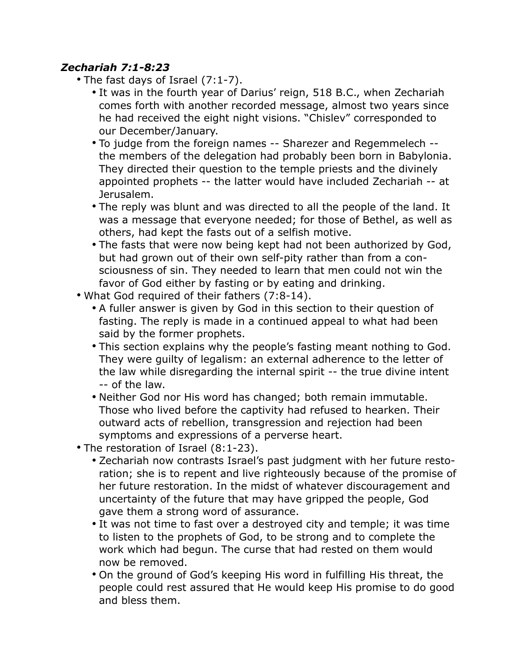#### *Zechariah 7:1-8:23*

- The fast days of Israel (7:1-7).
	- It was in the fourth year of Darius' reign, 518 B.C., when Zechariah comes forth with another recorded message, almost two years since he had received the eight night visions. "Chislev" corresponded to our December/January.
	- To judge from the foreign names -- Sharezer and Regemmelech the members of the delegation had probably been born in Babylonia. They directed their question to the temple priests and the divinely appointed prophets -- the latter would have included Zechariah -- at Jerusalem.
	- The reply was blunt and was directed to all the people of the land. It was a message that everyone needed; for those of Bethel, as well as others, had kept the fasts out of a selfish motive.
	- The fasts that were now being kept had not been authorized by God, but had grown out of their own self-pity rather than from a consciousness of sin. They needed to learn that men could not win the favor of God either by fasting or by eating and drinking.
- What God required of their fathers (7:8-14).
	- A fuller answer is given by God in this section to their question of fasting. The reply is made in a continued appeal to what had been said by the former prophets.
	- This section explains why the people's fasting meant nothing to God. They were guilty of legalism: an external adherence to the letter of the law while disregarding the internal spirit -- the true divine intent -- of the law.
	- Neither God nor His word has changed; both remain immutable. Those who lived before the captivity had refused to hearken. Their outward acts of rebellion, transgression and rejection had been symptoms and expressions of a perverse heart.
- The restoration of Israel (8:1-23).
	- Zechariah now contrasts Israel's past judgment with her future restoration; she is to repent and live righteously because of the promise of her future restoration. In the midst of whatever discouragement and uncertainty of the future that may have gripped the people, God gave them a strong word of assurance.
	- It was not time to fast over a destroyed city and temple; it was time to listen to the prophets of God, to be strong and to complete the work which had begun. The curse that had rested on them would now be removed.
	- On the ground of God's keeping His word in fulfilling His threat, the people could rest assured that He would keep His promise to do good and bless them.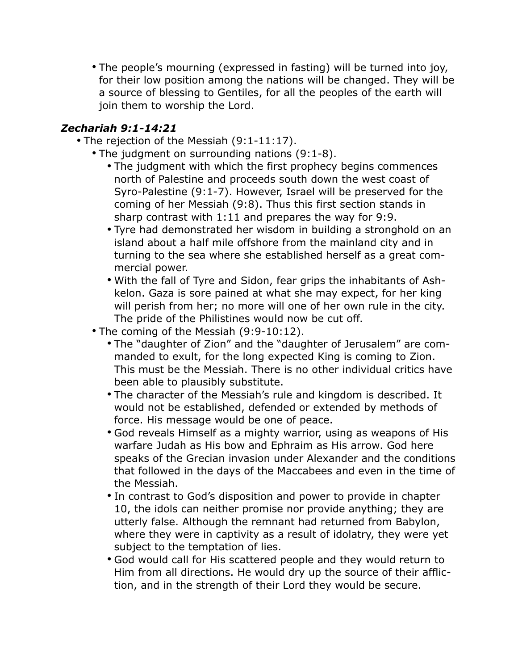• The people's mourning (expressed in fasting) will be turned into joy, for their low position among the nations will be changed. They will be a source of blessing to Gentiles, for all the peoples of the earth will join them to worship the Lord.

#### *Zechariah 9:1-14:21*

- The rejection of the Messiah (9:1-11:17).
	- The judgment on surrounding nations (9:1-8).
		- The judgment with which the first prophecy begins commences north of Palestine and proceeds south down the west coast of Syro-Palestine (9:1-7). However, Israel will be preserved for the coming of her Messiah (9:8). Thus this first section stands in sharp contrast with 1:11 and prepares the way for 9:9.
		- Tyre had demonstrated her wisdom in building a stronghold on an island about a half mile offshore from the mainland city and in turning to the sea where she established herself as a great commercial power.
		- With the fall of Tyre and Sidon, fear grips the inhabitants of Ashkelon. Gaza is sore pained at what she may expect, for her king will perish from her; no more will one of her own rule in the city. The pride of the Philistines would now be cut off.
	- The coming of the Messiah (9:9-10:12).
		- The "daughter of Zion" and the "daughter of Jerusalem" are commanded to exult, for the long expected King is coming to Zion. This must be the Messiah. There is no other individual critics have been able to plausibly substitute.
		- The character of the Messiah's rule and kingdom is described. It would not be established, defended or extended by methods of force. His message would be one of peace.
		- God reveals Himself as a mighty warrior, using as weapons of His warfare Judah as His bow and Ephraim as His arrow. God here speaks of the Grecian invasion under Alexander and the conditions that followed in the days of the Maccabees and even in the time of the Messiah.
		- In contrast to God's disposition and power to provide in chapter 10, the idols can neither promise nor provide anything; they are utterly false. Although the remnant had returned from Babylon, where they were in captivity as a result of idolatry, they were yet subject to the temptation of lies.
		- God would call for His scattered people and they would return to Him from all directions. He would dry up the source of their affliction, and in the strength of their Lord they would be secure.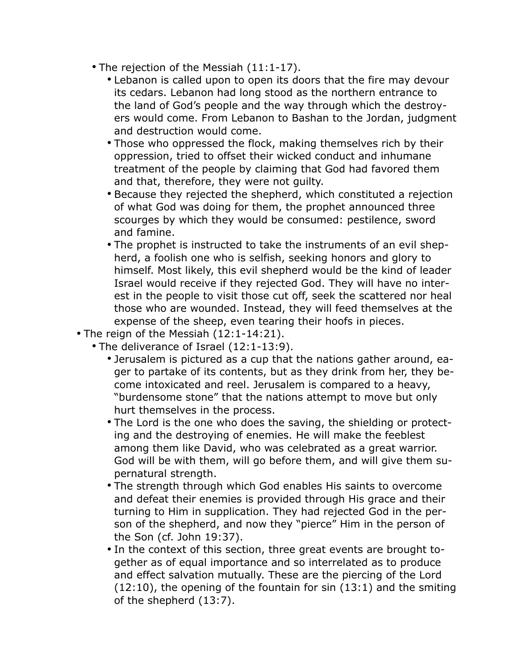- The rejection of the Messiah (11:1-17).
	- Lebanon is called upon to open its doors that the fire may devour its cedars. Lebanon had long stood as the northern entrance to the land of God's people and the way through which the destroyers would come. From Lebanon to Bashan to the Jordan, judgment and destruction would come.
	- Those who oppressed the flock, making themselves rich by their oppression, tried to offset their wicked conduct and inhumane treatment of the people by claiming that God had favored them and that, therefore, they were not guilty.
	- Because they rejected the shepherd, which constituted a rejection of what God was doing for them, the prophet announced three scourges by which they would be consumed: pestilence, sword and famine.
	- The prophet is instructed to take the instruments of an evil shepherd, a foolish one who is selfish, seeking honors and glory to himself. Most likely, this evil shepherd would be the kind of leader Israel would receive if they rejected God. They will have no interest in the people to visit those cut off, seek the scattered nor heal those who are wounded. Instead, they will feed themselves at the expense of the sheep, even tearing their hoofs in pieces.
- The reign of the Messiah (12:1-14:21).
	- The deliverance of Israel (12:1-13:9).
		- Jerusalem is pictured as a cup that the nations gather around, eager to partake of its contents, but as they drink from her, they become intoxicated and reel. Jerusalem is compared to a heavy, "burdensome stone" that the nations attempt to move but only hurt themselves in the process.
		- The Lord is the one who does the saving, the shielding or protecting and the destroying of enemies. He will make the feeblest among them like David, who was celebrated as a great warrior. God will be with them, will go before them, and will give them supernatural strength.
		- The strength through which God enables His saints to overcome and defeat their enemies is provided through His grace and their turning to Him in supplication. They had rejected God in the person of the shepherd, and now they "pierce" Him in the person of the Son (cf. John 19:37).
		- In the context of this section, three great events are brought together as of equal importance and so interrelated as to produce and effect salvation mutually. These are the piercing of the Lord  $(12:10)$ , the opening of the fountain for sin  $(13:1)$  and the smiting of the shepherd (13:7).